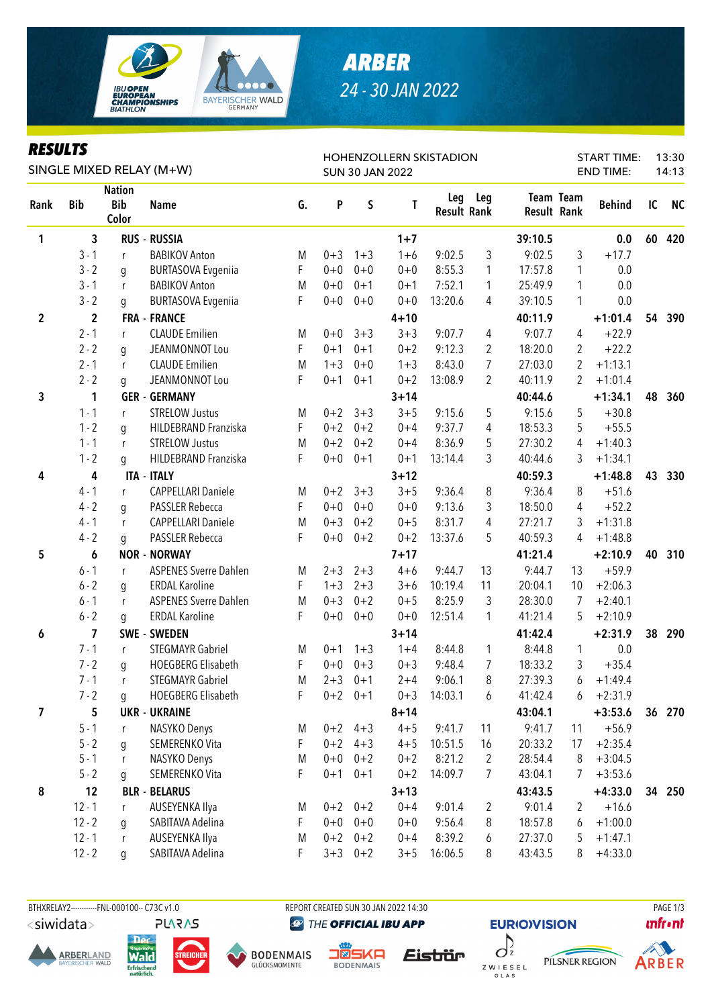

## *ARBER 24 - 30 JAN 2022*

### *RESULTS*

| <i><b>KESULIS</b></i> |                         |                                      | SINGLE MIXED RELAY (M+W)     |    |                        |           |          | <b>HOHENZOLLERN SKISTADION</b> | <b>START TIME:</b><br><b>END TIME:</b> |         |                          |               | 13:30<br>14:13 |           |
|-----------------------|-------------------------|--------------------------------------|------------------------------|----|------------------------|-----------|----------|--------------------------------|----------------------------------------|---------|--------------------------|---------------|----------------|-----------|
|                       |                         |                                      |                              |    | <b>SUN 30 JAN 2022</b> |           |          |                                |                                        |         |                          |               |                |           |
| Rank                  | <b>Bib</b>              | <b>Nation</b><br><b>Bib</b><br>Color | <b>Name</b>                  | G. | P                      | $\sf S$   | T        | Leg<br><b>Result Rank</b>      | Leg                                    |         | Team Team<br>Result Rank | <b>Behind</b> | IC             | <b>NC</b> |
| 1                     | 3                       |                                      | RUS - RUSSIA                 |    |                        |           | $1 + 7$  |                                |                                        | 39:10.5 |                          | 0.0           | 60             | 420       |
|                       | $3 - 1$                 | r                                    | <b>BABIKOV Anton</b>         | M  | $0 + 3$                | $1 + 3$   | $1 + 6$  | 9:02.5                         | $\mathfrak{Z}$                         | 9:02.5  | 3                        | $+17.7$       |                |           |
|                       | $3 - 2$                 | g                                    | <b>BURTASOVA Evgeniia</b>    | F  | $0 + 0$                | $0 + 0$   | $0 + 0$  | 8:55.3                         | $\mathbf{1}$                           | 17:57.8 | 1                        | 0.0           |                |           |
|                       | $3 - 1$                 | r                                    | <b>BABIKOV Anton</b>         | M  | $0 + 0$                | $0 + 1$   | $0 + 1$  | 7:52.1                         | 1                                      | 25:49.9 | 1                        | 0.0           |                |           |
|                       | $3 - 2$                 | g                                    | <b>BURTASOVA Evgeniia</b>    | F  | $0 + 0$                | $0 + 0$   | $0 + 0$  | 13:20.6                        | 4                                      | 39:10.5 | 1                        | 0.0           |                |           |
| $\boldsymbol{2}$      | $\mathbf 2$             |                                      | <b>FRA - FRANCE</b>          |    |                        |           | $4 + 10$ |                                |                                        | 40:11.9 |                          | $+1:01.4$     | 54             | 390       |
|                       | $2 - 1$                 | r                                    | <b>CLAUDE Emilien</b>        | M  | $0 + 0$                | $3 + 3$   | $3 + 3$  | 9:07.7                         | 4                                      | 9:07.7  | 4                        | $+22.9$       |                |           |
|                       | $2 - 2$                 | g                                    | JEANMONNOT Lou               | F  | $0 + 1$                | $0 + 1$   | $0 + 2$  | 9:12.3                         | $\overline{2}$                         | 18:20.0 | $\overline{2}$           | $+22.2$       |                |           |
|                       | $2 - 1$                 | r                                    | <b>CLAUDE Emilien</b>        | M  | $1 + 3$                | $0 + 0$   | $1 + 3$  | 8:43.0                         | $\overline{7}$                         | 27:03.0 | 2                        | $+1:13.1$     |                |           |
|                       | $2 - 2$                 | q                                    | JEANMONNOT Lou               | F  | $0 + 1$                | $0 + 1$   | $0 + 2$  | 13:08.9                        | $\overline{2}$                         | 40:11.9 | 2                        | $+1:01.4$     |                |           |
| 3                     | 1                       |                                      | <b>GER - GERMANY</b>         |    |                        |           | $3 + 14$ |                                |                                        | 40:44.6 |                          | $+1:34.1$     | 48             | 360       |
|                       | $1 - 1$                 | r                                    | <b>STRELOW Justus</b>        | M  | $0 + 2$                | $3 + 3$   | $3 + 5$  | 9:15.6                         | 5                                      | 9:15.6  | 5                        | $+30.8$       |                |           |
|                       | $1 - 2$                 | g                                    | HILDEBRAND Franziska         | F  | $0 + 2$                | $0 + 2$   | $0 + 4$  | 9:37.7                         | $\overline{4}$                         | 18:53.3 | 5                        | $+55.5$       |                |           |
|                       | $1 - 1$                 | r                                    | <b>STRELOW Justus</b>        | M  | $0 + 2$                | $0 + 2$   | $0 + 4$  | 8:36.9                         | 5                                      | 27:30.2 | 4                        | $+1:40.3$     |                |           |
|                       | $1 - 2$                 | g                                    | HILDEBRAND Franziska         | F  | $0+0$                  | $0 + 1$   | $0 + 1$  | 13:14.4                        | 3                                      | 40:44.6 | 3                        | $+1:34.1$     |                |           |
| 4                     | 4                       |                                      | <b>ITA - ITALY</b>           |    |                        |           | $3 + 12$ |                                |                                        | 40:59.3 |                          | $+1:48.8$     | 43             | 330       |
|                       | $4 - 1$                 | r                                    | <b>CAPPELLARI Daniele</b>    | M  | $0 + 2$                | $3 + 3$   | $3 + 5$  | 9:36.4                         | 8                                      | 9:36.4  | 8                        | $+51.6$       |                |           |
|                       | $4 - 2$                 | g                                    | <b>PASSLER Rebecca</b>       | F  | $0 + 0$                | $0 + 0$   | $0 + 0$  | 9:13.6                         | 3                                      | 18:50.0 | 4                        | $+52.2$       |                |           |
|                       | $4 - 1$                 | r                                    | <b>CAPPELLARI Daniele</b>    | M  | $0 + 3$                | $0 + 2$   | $0 + 5$  | 8:31.7                         | 4                                      | 27:21.7 | 3                        | $+1:31.8$     |                |           |
|                       | $4 - 2$                 | q                                    | PASSLER Rebecca              | F  | $0+0$                  | $0 + 2$   | $0 + 2$  | 13:37.6                        | 5                                      | 40:59.3 | 4                        | $+1:48.8$     |                |           |
| 5                     | 6                       |                                      | <b>NOR - NORWAY</b>          |    |                        |           | $7 + 17$ |                                |                                        | 41:21.4 |                          | $+2:10.9$     | 40             | 310       |
|                       | $6 - 1$                 | r                                    | <b>ASPENES Sverre Dahlen</b> | M  | $2 + 3$                | $2 + 3$   | $4 + 6$  | 9:44.7                         | 13                                     | 9:44.7  | 13                       | $+59.9$       |                |           |
|                       | $6 - 2$                 | g                                    | <b>ERDAL Karoline</b>        | F  | $1 + 3$                | $2 + 3$   | $3 + 6$  | 10:19.4                        | 11                                     | 20:04.1 | 10                       | $+2:06.3$     |                |           |
|                       | $6 - 1$                 | r                                    | <b>ASPENES Sverre Dahlen</b> | M  | $0 + 3$                | $0 + 2$   | $0 + 5$  | 8:25.9                         | 3                                      | 28:30.0 | 7                        | $+2:40.1$     |                |           |
|                       | $6 - 2$                 | g                                    | <b>ERDAL Karoline</b>        | F  | $0 + 0$                | $0 + 0$   | $0 + 0$  | 12:51.4                        | 1                                      | 41:21.4 | 5                        | $+2:10.9$     |                |           |
| 6                     | $\overline{\mathbf{z}}$ |                                      | SWE - SWEDEN                 |    |                        |           | $3 + 14$ |                                |                                        | 41:42.4 |                          | $+2:31.9$     | 38             | 290       |
|                       | $7 - 1$                 | r                                    | <b>STEGMAYR Gabriel</b>      | M  | $0 + 1$                | $1 + 3$   | $1 + 4$  | 8:44.8                         | $\mathbf{1}$                           | 8:44.8  | 1                        | 0.0           |                |           |
|                       | $7 - 2$                 | q                                    | <b>HOEGBERG Elisabeth</b>    | F  | $0 + 0$                | $0 + 3$   | $0 + 3$  | 9:48.4                         | 7                                      | 18:33.2 | 3                        | $+35.4$       |                |           |
|                       | $7 - 1$                 |                                      | <b>STEGMAYR Gabriel</b>      | M  | $2 + 3$                | $0 + 1$   | $2 + 4$  | 9:06.1                         | 8                                      | 27:39.3 | 6                        | $+1:49.4$     |                |           |
|                       | $7 - 2$                 | q                                    | <b>HOEGBERG Elisabeth</b>    | F  |                        | $0+2$ 0+1 | $0 + 3$  | 14:03.1                        | 6                                      | 41:42.4 | 6                        | $+2:31.9$     |                |           |
| 7                     | 5                       |                                      | <b>UKR - UKRAINE</b>         |    |                        |           | $8 + 14$ |                                |                                        | 43:04.1 |                          | $+3:53.6$     |                | 36 270    |
|                       | $5 - 1$                 | r                                    | NASYKO Denys                 | M  |                        | $0+2$ 4+3 | $4 + 5$  | 9:41.7                         | 11                                     | 9:41.7  | 11                       | $+56.9$       |                |           |
|                       | $5 - 2$                 | g                                    | SEMERENKO Vita               | F  | $0 + 2$                | $4 + 3$   | $4 + 5$  | 10:51.5                        | 16                                     | 20:33.2 | 17                       | $+2:35.4$     |                |           |
|                       | $5 - 1$                 | r                                    | NASYKO Denys                 | M  | $0 + 0$                | $0 + 2$   | $0 + 2$  | 8:21.2                         | $\overline{2}$                         | 28:54.4 | 8                        | $+3:04.5$     |                |           |
|                       | $5 - 2$                 | q                                    | SEMERENKO Vita               | F  | $0 + 1$                | $0 + 1$   | $0 + 2$  | 14:09.7                        | $\overline{7}$                         | 43:04.1 | 7                        | $+3:53.6$     |                |           |
| 8                     | 12                      |                                      | <b>BLR - BELARUS</b>         |    |                        |           | $3 + 13$ |                                |                                        | 43:43.5 |                          | $+4:33.0$     | 34             | 250       |
|                       | $12 - 1$                | r                                    | AUSEYENKA Ilya               | M  | $0 + 2$                | $0 + 2$   | $0 + 4$  | 9:01.4                         | $\overline{c}$                         | 9:01.4  | 2                        | $+16.6$       |                |           |
|                       | $12 - 2$                | g                                    | SABITAVA Adelina             | F  | $0+0$                  | $0+0$     | $0 + 0$  | 9:56.4                         | 8                                      | 18:57.8 | 6                        | $+1:00.0$     |                |           |
|                       | $12 - 1$                | r                                    | AUSEYENKA Ilya               | M  | $0 + 2$                | $0 + 2$   | $0 + 4$  | 8:39.2                         | 6                                      | 27:37.0 | 5                        | $+1:47.1$     |                |           |
|                       | $12 - 2$                | g                                    | SABITAVA Adelina             | F  | $3 + 3$                | $0 + 2$   | $3 + 5$  | 16:06.5                        | 8                                      | 43:43.5 | 8                        | $+4:33.0$     |                |           |

#### BTHXRELAY2-----------FNL-000100-- C73C v1.0 REPORT CREATED SUN 30 JAN 2022 14:30 REPORT CREATED SUN 30 JAN 2022 14:30

<siwidata>











Eistrür





PILSNER REGION



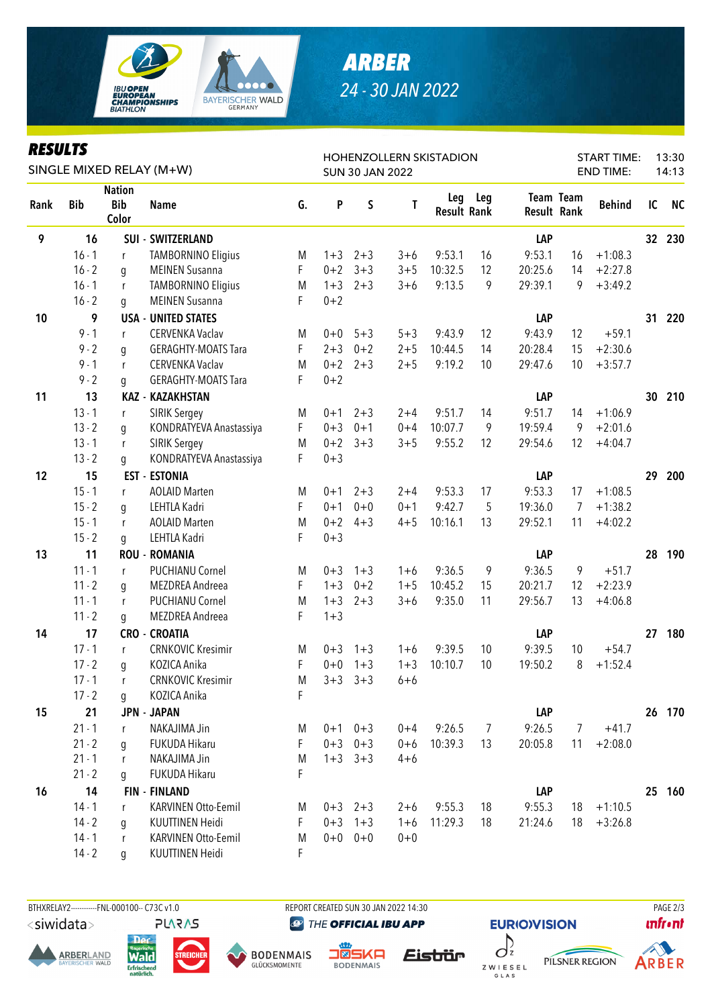

## *ARBER 24 - 30 JAN 2022*

#### *RESULTS*

| KEYULIY<br>SINGLE MIXED RELAY (M+W) |            |                                      |                            |    |         | <b>SUN 30 JAN 2022</b> |         | HOHENZOLLERN SKISTADION   | <b>START TIME:</b><br><b>END TIME:</b> |         |                                 |               | 13:30<br>14:13 |           |
|-------------------------------------|------------|--------------------------------------|----------------------------|----|---------|------------------------|---------|---------------------------|----------------------------------------|---------|---------------------------------|---------------|----------------|-----------|
| Rank                                | <b>Bib</b> | <b>Nation</b><br><b>Bib</b><br>Color | <b>Name</b>                | G. | P       | $\sf S$                | Τ       | Leg<br><b>Result Rank</b> | Leg                                    |         | Team Team<br><b>Result Rank</b> | <b>Behind</b> | IC             | <b>NC</b> |
| 9                                   | 16         |                                      | <b>SUI - SWITZERLAND</b>   |    |         |                        |         |                           |                                        | LAP     |                                 |               | 32             | 230       |
|                                     | $16 - 1$   | r                                    | <b>TAMBORNINO Eligius</b>  | M  | $1 + 3$ | $2 + 3$                | $3 + 6$ | 9:53.1                    | 16                                     | 9:53.1  | 16                              | $+1:08.3$     |                |           |
|                                     | $16 - 2$   | g                                    | <b>MEINEN Susanna</b>      | F  | $0 + 2$ | $3 + 3$                | $3 + 5$ | 10:32.5                   | 12                                     | 20:25.6 | 14                              | $+2:27.8$     |                |           |
|                                     | $16 - 1$   | r                                    | <b>TAMBORNINO Eligius</b>  | M  | $1 + 3$ | $2 + 3$                | $3 + 6$ | 9:13.5                    | 9                                      | 29:39.1 | 9                               | $+3:49.2$     |                |           |
|                                     | $16 - 2$   | g                                    | <b>MEINEN Susanna</b>      | F  | $0 + 2$ |                        |         |                           |                                        |         |                                 |               |                |           |
| 10                                  | 9          |                                      | <b>USA - UNITED STATES</b> |    |         |                        |         |                           |                                        | LAP     |                                 |               | 31             | 220       |
|                                     | $9 - 1$    | r                                    | CERVENKA Vaclav            | M  | $0 + 0$ | $5 + 3$                | $5 + 3$ | 9:43.9                    | 12                                     | 9:43.9  | 12                              | $+59.1$       |                |           |
|                                     | $9 - 2$    | g                                    | <b>GERAGHTY-MOATS Tara</b> | F  | $2 + 3$ | $0 + 2$                | $2 + 5$ | 10:44.5                   | 14                                     | 20:28.4 | 15                              | $+2:30.6$     |                |           |
|                                     | $9 - 1$    | $\mathsf{r}$                         | CERVENKA Vaclav            | M  | $0 + 2$ | $2 + 3$                | $2 + 5$ | 9:19.2                    | 10                                     | 29:47.6 | 10                              | $+3:57.7$     |                |           |
|                                     | $9 - 2$    | g                                    | <b>GERAGHTY-MOATS Tara</b> | F  | $0 + 2$ |                        |         |                           |                                        |         |                                 |               |                |           |
| 11                                  | 13         |                                      | <b>KAZ - KAZAKHSTAN</b>    |    |         |                        |         |                           |                                        | LAP     |                                 |               | 30             | 210       |
|                                     | $13 - 1$   | $\mathsf{r}$                         | <b>SIRIK Sergey</b>        | M  | $0 + 1$ | $2 + 3$                | $2 + 4$ | 9:51.7                    | 14                                     | 9:51.7  | 14                              | $+1:06.9$     |                |           |
|                                     | $13 - 2$   | g                                    | KONDRATYEVA Anastassiya    | F  | $0 + 3$ | $0 + 1$                | $0 + 4$ | 10:07.7                   | 9                                      | 19:59.4 | 9                               | $+2:01.6$     |                |           |
|                                     | $13 - 1$   | $\mathsf{r}$                         | <b>SIRIK Sergey</b>        | M  | $0 + 2$ | $3 + 3$                | $3 + 5$ | 9:55.2                    | 12                                     | 29:54.6 | 12                              | $+4:04.7$     |                |           |
|                                     | $13 - 2$   | g                                    | KONDRATYEVA Anastassiya    | F  | $0 + 3$ |                        |         |                           |                                        |         |                                 |               |                |           |
| 12                                  | 15         |                                      | <b>EST - ESTONIA</b>       |    |         |                        |         |                           |                                        | LAP     |                                 |               | 29             | 200       |
|                                     | $15 - 1$   | r                                    | <b>AOLAID Marten</b>       | M  | $0 + 1$ | $2 + 3$                | $2 + 4$ | 9:53.3                    | 17                                     | 9:53.3  | 17                              | $+1:08.5$     |                |           |
|                                     | $15 - 2$   | g                                    | LEHTLA Kadri               | F  | $0 + 1$ | $0 + 0$                | $0 + 1$ | 9:42.7                    | 5                                      | 19:36.0 | 7                               | $+1:38.2$     |                |           |
|                                     | $15 - 1$   | $\mathsf{r}$                         | <b>AOLAID Marten</b>       | M  | $0 + 2$ | $4 + 3$                | $4 + 5$ | 10:16.1                   | 13                                     | 29:52.1 | 11                              | $+4:02.2$     |                |           |
|                                     | $15 - 2$   | g                                    | LEHTLA Kadri               | F  | $0 + 3$ |                        |         |                           |                                        |         |                                 |               |                |           |
| 13                                  | 11         |                                      | <b>ROU - ROMANIA</b>       |    |         |                        |         |                           |                                        | LAP     |                                 |               | 28             | 190       |
|                                     | $11 - 1$   | r                                    | <b>PUCHIANU Cornel</b>     | M  | $0 + 3$ | $1 + 3$                | $1 + 6$ | 9:36.5                    | 9                                      | 9:36.5  | 9                               | $+51.7$       |                |           |
|                                     | $11 - 2$   | g                                    | <b>MEZDREA</b> Andreea     | F  | $1 + 3$ | $0 + 2$                | $1 + 5$ | 10:45.2                   | 15                                     | 20:21.7 | 12                              | $+2:23.9$     |                |           |
|                                     | $11 - 1$   | $\mathsf{r}$                         | PUCHIANU Cornel            | M  | $1 + 3$ | $2 + 3$                | $3 + 6$ | 9:35.0                    | 11                                     | 29:56.7 | 13                              | $+4:06.8$     |                |           |
|                                     | $11 - 2$   | g                                    | <b>MEZDREA</b> Andreea     | F  | $1 + 3$ |                        |         |                           |                                        |         |                                 |               |                |           |
| 14                                  | 17         |                                      | <b>CRO - CROATIA</b>       |    |         |                        |         |                           |                                        | LAP     |                                 |               | 27             | 180       |
|                                     | $17 - 1$   | r                                    | <b>CRNKOVIC Kresimir</b>   | M  | $0 + 3$ | $1 + 3$                | $1 + 6$ | 9:39.5                    | 10                                     | 9:39.5  | 10                              | $+54.7$       |                |           |
|                                     | $17 - 2$   | g                                    | KOZICA Anika               | F  | $0 + 0$ | $1 + 3$                | $1 + 3$ | 10:10.7                   | 10                                     | 19:50.2 | 8                               | $+1:52.4$     |                |           |
|                                     | $17 - 1$   | r                                    | <b>CRNKOVIC Kresimir</b>   | M  | $3 + 3$ | $3 + 3$                | $6 + 6$ |                           |                                        |         |                                 |               |                |           |
|                                     | $17 - 2$   | q                                    | KOZICA Anika               | F  |         |                        |         |                           |                                        |         |                                 |               |                |           |
| 15                                  | 21         |                                      | <b>JPN - JAPAN</b>         |    |         |                        |         |                           |                                        | LAP     |                                 |               |                | 26 170    |
|                                     | $21 - 1$   | $\mathsf{r}$                         | NAKAJIMA Jin               | M  |         | $0+1$ $0+3$            | $0 + 4$ | 9:26.5                    | $\overline{7}$                         | 9:26.5  | 7                               | $+41.7$       |                |           |
|                                     | $21 - 2$   | g                                    | FUKUDA Hikaru              | F  |         | $0+3$ $0+3$            | $0 + 6$ | 10:39.3                   | 13                                     | 20:05.8 | 11                              | $+2:08.0$     |                |           |
|                                     | $21 - 1$   | r                                    | NAKAJIMA Jin               | M  |         | $1+3$ $3+3$            | $4 + 6$ |                           |                                        |         |                                 |               |                |           |
|                                     | $21 - 2$   | q                                    | FUKUDA Hikaru              | F  |         |                        |         |                           |                                        |         |                                 |               |                |           |
| 16                                  | 14         |                                      | <b>FIN - FINLAND</b>       |    |         |                        |         |                           |                                        | LAP     |                                 |               | 25             | 160       |
|                                     | $14 - 1$   | $\mathsf{r}$                         | <b>KARVINEN Otto-Eemil</b> | M  |         | $0+3$ 2+3              | $2 + 6$ | 9:55.3                    | 18                                     | 9:55.3  | 18                              | $+1:10.5$     |                |           |
|                                     | $14 - 2$   | g                                    | <b>KUUTTINEN Heidi</b>     | F  |         | $0+3$ 1+3              | $1 + 6$ | 11:29.3                   | 18                                     | 21:24.6 | 18                              | $+3:26.8$     |                |           |
|                                     | $14 - 1$   | $\mathsf{r}$                         | KARVINEN Otto-Eemil        | M  |         | $0+0$ 0+0              | $0 + 0$ |                           |                                        |         |                                 |               |                |           |
|                                     | $14 - 2$   | q                                    | KUUTTINEN Heidi            | F  |         |                        |         |                           |                                        |         |                                 |               |                |           |



THE OFFICIAL IBU APP